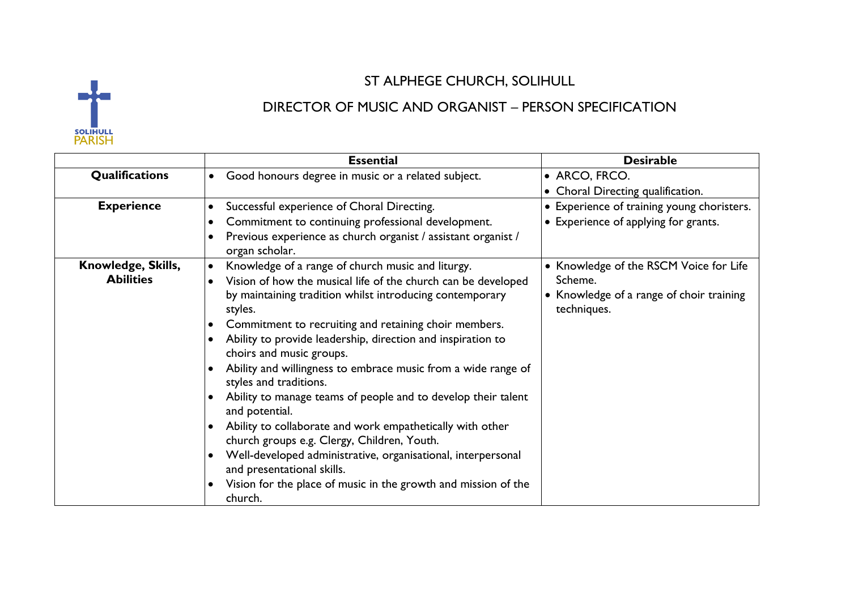

## ST ALPHEGE CHURCH, SOLIHULL

## DIRECTOR OF MUSIC AND ORGANIST – PERSON SPECIFICATION

|                                        | <b>Essential</b>                                                                                                                                                                                                                                                                                                                                                                                                                                                                                                                                                                                                                                                                                                                                                                                                                                                       | <b>Desirable</b>                                                                                             |
|----------------------------------------|------------------------------------------------------------------------------------------------------------------------------------------------------------------------------------------------------------------------------------------------------------------------------------------------------------------------------------------------------------------------------------------------------------------------------------------------------------------------------------------------------------------------------------------------------------------------------------------------------------------------------------------------------------------------------------------------------------------------------------------------------------------------------------------------------------------------------------------------------------------------|--------------------------------------------------------------------------------------------------------------|
| <b>Qualifications</b>                  | Good honours degree in music or a related subject.<br>$\bullet$                                                                                                                                                                                                                                                                                                                                                                                                                                                                                                                                                                                                                                                                                                                                                                                                        | • ARCO, FRCO.<br>• Choral Directing qualification.                                                           |
| <b>Experience</b>                      | Successful experience of Choral Directing.<br>$\bullet$<br>Commitment to continuing professional development.<br>$\bullet$<br>Previous experience as church organist / assistant organist /<br>$\bullet$<br>organ scholar.                                                                                                                                                                                                                                                                                                                                                                                                                                                                                                                                                                                                                                             | • Experience of training young choristers.<br>• Experience of applying for grants.                           |
| Knowledge, Skills,<br><b>Abilities</b> | Knowledge of a range of church music and liturgy.<br>$\bullet$<br>Vision of how the musical life of the church can be developed<br>$\bullet$<br>by maintaining tradition whilst introducing contemporary<br>styles.<br>Commitment to recruiting and retaining choir members.<br>Ability to provide leadership, direction and inspiration to<br>$\bullet$<br>choirs and music groups.<br>Ability and willingness to embrace music from a wide range of<br>styles and traditions.<br>Ability to manage teams of people and to develop their talent<br>and potential.<br>Ability to collaborate and work empathetically with other<br>church groups e.g. Clergy, Children, Youth.<br>Well-developed administrative, organisational, interpersonal<br>$\bullet$<br>and presentational skills.<br>Vision for the place of music in the growth and mission of the<br>church. | • Knowledge of the RSCM Voice for Life<br>Scheme.<br>• Knowledge of a range of choir training<br>techniques. |